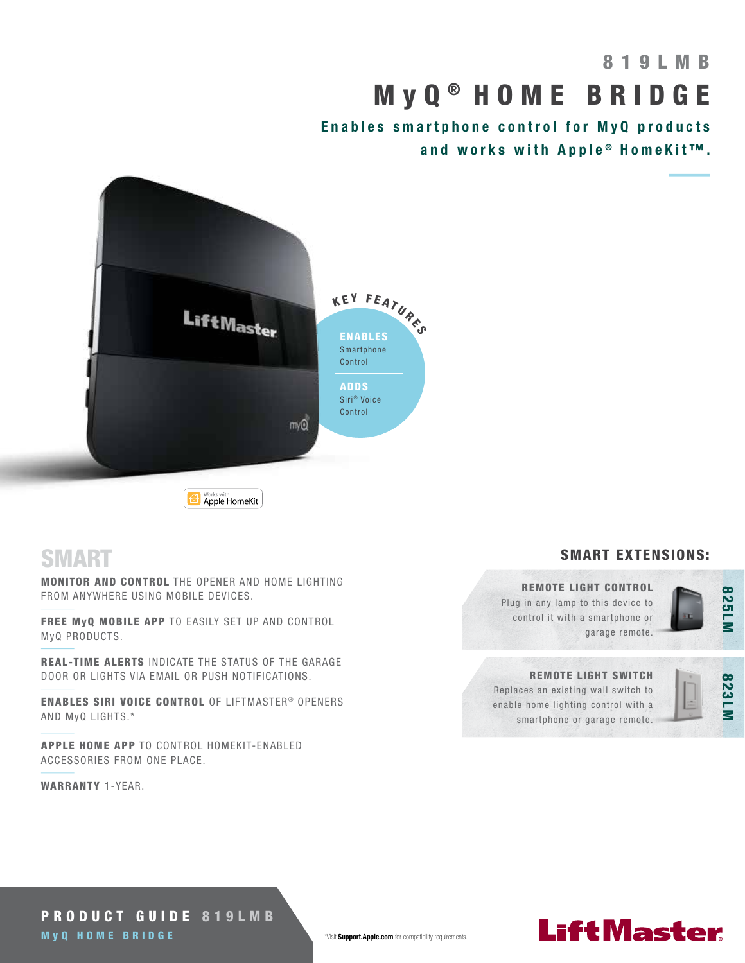# 8 1 9 L M B M y Q ® HOME BRIDGE

Enables smartphone control for MyQ products and works with Apple® HomeKit™.



Norks with<br>Apple HomeKit

### **SMART**

MONITOR AND CONTROL THE OPENER AND HOME LIGHTING FROM ANYWHERE USING MOBILE DEVICES.

FREE MyQ MOBILE APP TO EASILY SET UP AND CONTROL MyQ PRODUCTS.

REAL-TIME ALERTS INDICATE THE STATUS OF THE GARAGE DOOR OR LIGHTS VIA EMAIL OR PUSH NOTIFICATIONS.

ENABLES SIRI VOICE CONTROL OF LIFTMASTER® OPENERS AND MyQ LIGHTS.\*

APPLE HOME APP TO CONTROL HOMEKIT-ENABLED ACCESSORIES FROM ONE PLACE.

WARRANTY 1-YEAR.

#### SMART EXTENSIONS:

#### REMOTE LIGHT CONTROL

Plug in any lamp to this device to control it with a smartphone or garage remote.



#### REMOTE LIGHT SWITCH

Replaces an existing wall switch to enable home lighting control with a smartphone or garage remote.



## **LiftMaster**

PRODUCT GUIDE 819LMB M y Q HOME BRIDGE \*Visit Support.Apple.com for compatibility requirements.